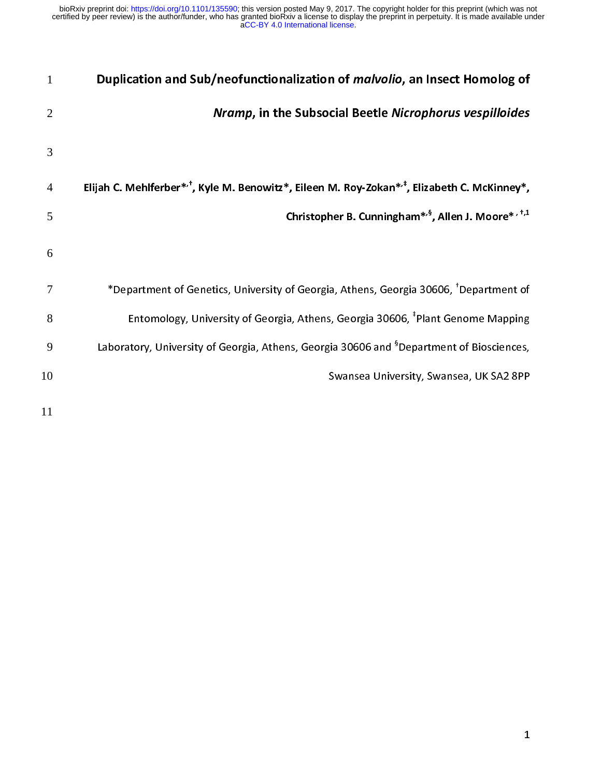| $\mathbf{1}$   | Duplication and Sub/neofunctionalization of <i>malvolio</i> , an Insect Homolog of                                  |
|----------------|---------------------------------------------------------------------------------------------------------------------|
| $\overline{2}$ | Nramp, in the Subsocial Beetle Nicrophorus vespilloides                                                             |
| 3              |                                                                                                                     |
| $\overline{4}$ | Elijah C. Mehlferber* <sup>*</sup> , Kyle M. Benowitz*, Eileen M. Roy-Zokan* <sup>*</sup> , Elizabeth C. McKinney*, |
| 5              | Christopher B. Cunningham <sup>*,§</sup> , Allen J. Moore*, <sup>†,1</sup>                                          |
| 6              |                                                                                                                     |
| 7              | *Department of Genetics, University of Georgia, Athens, Georgia 30606, <sup>†</sup> Department of                   |
| 8              | Entomology, University of Georgia, Athens, Georgia 30606, <sup>‡</sup> Plant Genome Mapping                         |
| 9              | Laboratory, University of Georgia, Athens, Georgia 30606 and <sup>§</sup> Department of Biosciences,                |
| 10             | Swansea University, Swansea, UK SA2 8PP                                                                             |
|                |                                                                                                                     |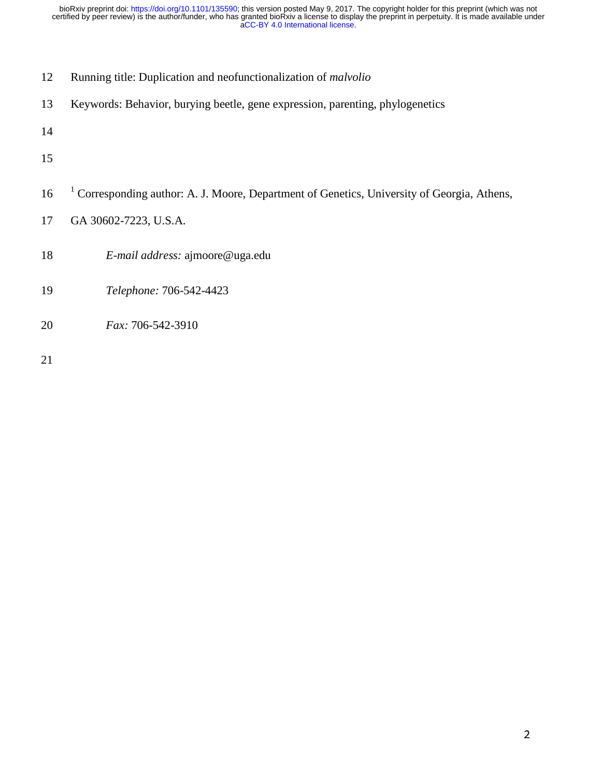- 12 Running title: Duplication and neofunctionalization of *malvolio*
- 13 Keywords: Behavior, burying beetle, gene expression, parenting, phylogenetics
- 14
- 15
- 16 <sup>1</sup> Corresponding author: A. J. Moore, Department of Genetics, University of Georgia, Athens,
- 17 GA 30602-7223, U.S.A.
- 18 *E-mail address:* ajmoore@uga.edu
- 19 *Telephone:* 706-542-4423
- 20 *Fax:* 706-542-3910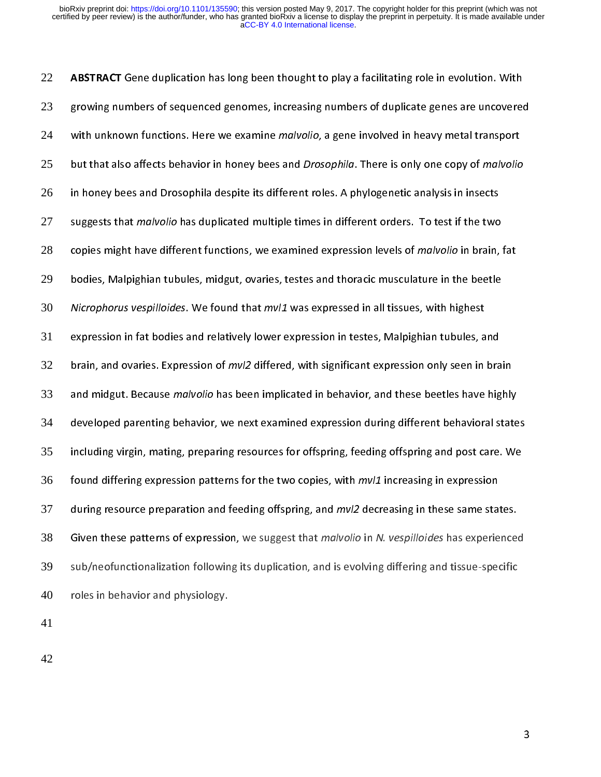22 ABSTRACT Gene duplication has long been thought to play a facilitating role in evolution. With 23 growing numbers of sequenced genomes, increasing numbers of duplicate genes are uncovered 24 with unknown functions. Here we examine *malvolio*, a gene involved in heavy metal transport 25 but that also affects behavior in honey bees and *Drosophila*. There is only one copy of malvolio 26 in honey bees and Drosophila despite its different roles. A phylogenetic analysis in insects 27 suggests that *malvolio* has duplicated multiple times in different orders. To test if the two 28 copies might have different functions, we examined expression levels of *malvolio* in brain, fat 29 bodies, Malpighian tubules, midgut, ovaries, testes and thoracic musculature in the beetle 30 Nicrophorus vespilloides. We found that mvl1 was expressed in all tissues, with highest <sup>31</sup>expression in fat bodies and relatively lower expression in testes, Malpighian tubules, and 32 brain, and ovaries. Expression of  $mvl2$  differed, with significant expression only seen in brain 33 and midgut. Because malvolio has been implicated in behavior, and these beetles have highly 34 developed parenting behavior, we next examined expression during different behavioral states 35 including virgin, mating, preparing resources for offspring, feeding offspring and post care. We 36 found differing expression patterns for the two copies, with  $mvl1$  increasing in expression 37 during resource preparation and feeding offspring, and *mvl2* decreasing in these same states. 38 Given these patterns of expression, we suggest that *malvolio* in N. vespilloides has experienced 39 sub/neofunctionalization following its duplication, and is evolving differing and tissue-specific  $40$  roles in behavior and physiology.

41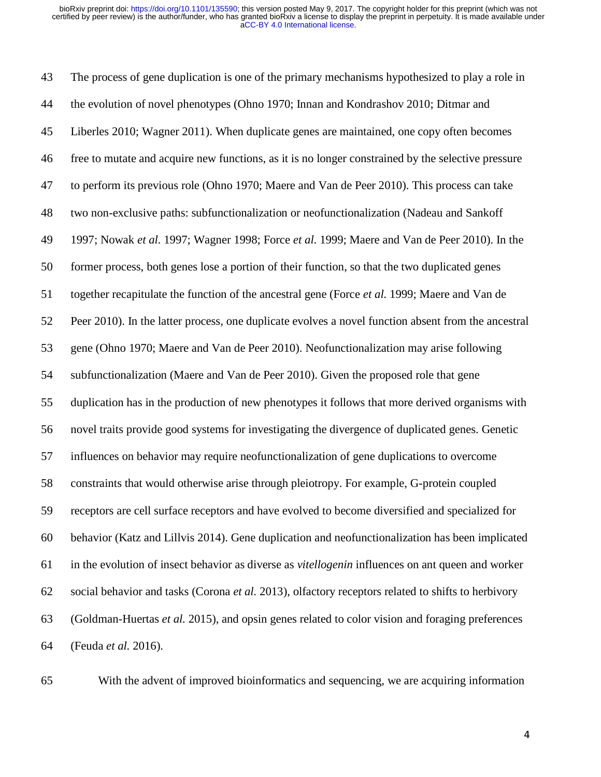43 The process of gene duplication is one of the primary mechanisms hypothesized to play a role in 44 the evolution of novel phenotypes (Ohno 1970; Innan and Kondrashov 2010; Ditmar and 45 Liberles 2010; Wagner 2011). When duplicate genes are maintained, one copy often becomes 46 free to mutate and acquire new functions, as it is no longer constrained by the selective pressure 47 to perform its previous role (Ohno 1970; Maere and Van de Peer 2010). This process can take 48 two non-exclusive paths: subfunctionalization or neofunctionalization (Nadeau and Sankoff 49 1997; Nowak *et al.* 1997; Wagner 1998; Force *et al.* 1999; Maere and Van de Peer 2010). In the 50 former process, both genes lose a portion of their function, so that the two duplicated genes 51 together recapitulate the function of the ancestral gene (Force *et al.* 1999; Maere and Van de 52 Peer 2010). In the latter process, one duplicate evolves a novel function absent from the ancestral 53 gene (Ohno 1970; Maere and Van de Peer 2010). Neofunctionalization may arise following 54 subfunctionalization (Maere and Van de Peer 2010). Given the proposed role that gene 55 duplication has in the production of new phenotypes it follows that more derived organisms with 56 novel traits provide good systems for investigating the divergence of duplicated genes. Genetic 57 influences on behavior may require neofunctionalization of gene duplications to overcome 58 constraints that would otherwise arise through pleiotropy. For example, G-protein coupled 59 receptors are cell surface receptors and have evolved to become diversified and specialized for 60 behavior (Katz and Lillvis 2014). Gene duplication and neofunctionalization has been implicated 61 in the evolution of insect behavior as diverse as *vitellogenin* influences on ant queen and worker 62 social behavior and tasks (Corona *et al.* 2013), olfactory receptors related to shifts to herbivory 63 (Goldman-Huertas *et al.* 2015), and opsin genes related to color vision and foraging preferences 64 (Feuda *et al.* 2016).



65 With the advent of improved bioinformatics and sequencing, we are acquiring information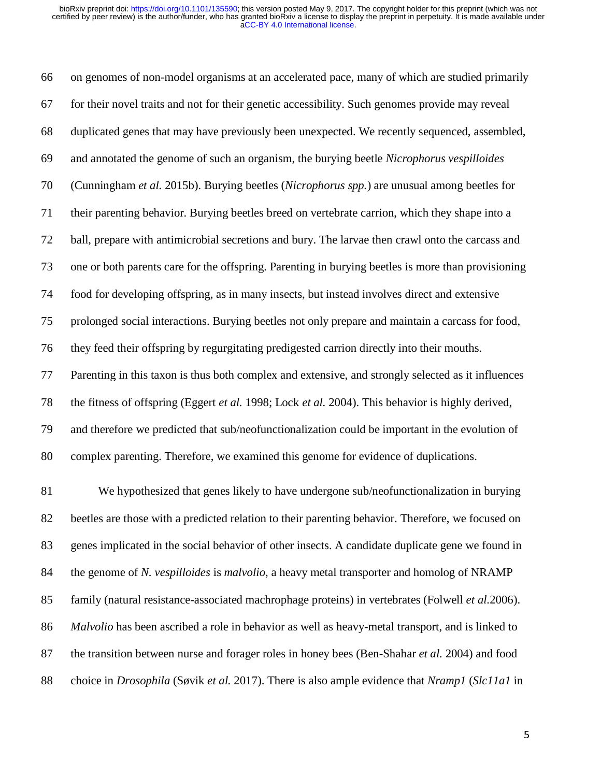66 on genomes of non-model organisms at an accelerated pace, many of which are studied primarily 67 for their novel traits and not for their genetic accessibility. Such genomes provide may reveal 68 duplicated genes that may have previously been unexpected. We recently sequenced, assembled, 69 and annotated the genome of such an organism, the burying beetle *Nicrophorus vespilloides* 70 (Cunningham *et al.* 2015b). Burying beetles (*Nicrophorus spp.*) are unusual among beetles for 71 their parenting behavior. Burying beetles breed on vertebrate carrion, which they shape into a 72 ball, prepare with antimicrobial secretions and bury. The larvae then crawl onto the carcass and 73 one or both parents care for the offspring. Parenting in burying beetles is more than provisioning 74 food for developing offspring, as in many insects, but instead involves direct and extensive 75 prolonged social interactions. Burying beetles not only prepare and maintain a carcass for food, 76 they feed their offspring by regurgitating predigested carrion directly into their mouths. 77 Parenting in this taxon is thus both complex and extensive, and strongly selected as it influences 78 the fitness of offspring (Eggert *et al.* 1998; Lock *et al.* 2004). This behavior is highly derived, 79 and therefore we predicted that sub/neofunctionalization could be important in the evolution of 80 complex parenting. Therefore, we examined this genome for evidence of duplications.

81 We hypothesized that genes likely to have undergone sub/neofunctionalization in burying 82 beetles are those with a predicted relation to their parenting behavior. Therefore, we focused on 83 genes implicated in the social behavior of other insects. A candidate duplicate gene we found in 84 the genome of *N. vespilloides* is *malvolio*, a heavy metal transporter and homolog of NRAMP 85 family (natural resistance-associated machrophage proteins) in vertebrates (Folwell *et al.*2006). 86 *Malvolio* has been ascribed a role in behavior as well as heavy-metal transport, and is linked to 87 the transition between nurse and forager roles in honey bees (Ben-Shahar *et al.* 2004) and food 88 choice in *Drosophila* (Søvik *et al.* 2017). There is also ample evidence that *Nramp1* (*Slc11a1* in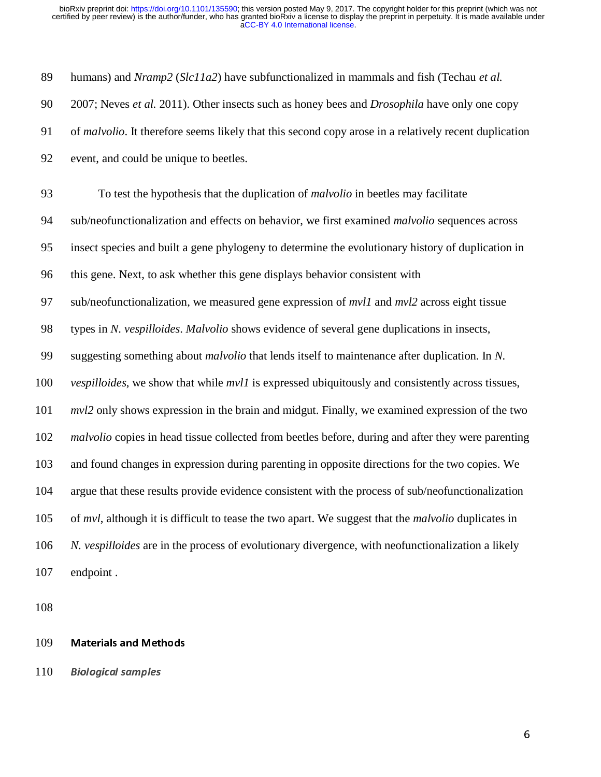89 humans) and *Nramp2* (*Slc11a2*) have subfunctionalized in mammals and fish (Techau *et al.* 90 2007; Neves *et al.* 2011). Other insects such as honey bees and *Drosophila* have only one copy 91 of *malvolio*. It therefore seems likely that this second copy arose in a relatively recent duplication 92 event, and could be unique to beetles. 93 To test the hypothesis that the duplication of *malvolio* in beetles may facilitate 94 sub/neofunctionalization and effects on behavior, we first examined *malvolio* sequences across 95 insect species and built a gene phylogeny to determine the evolutionary history of duplication in 96 this gene. Next, to ask whether this gene displays behavior consistent with 97 sub/neofunctionalization, we measured gene expression of *mvl1* and *mvl2* across eight tissue 98 types in *N. vespilloides*. *Malvolio* shows evidence of several gene duplications in insects, 99 suggesting something about *malvolio* that lends itself to maintenance after duplication. In *N.*  100 *vespilloides*, we show that while *mvl1* is expressed ubiquitously and consistently across tissues, 101 *mvl2* only shows expression in the brain and midgut. Finally, we examined expression of the two 102 *malvolio* copies in head tissue collected from beetles before, during and after they were parenting 103 and found changes in expression during parenting in opposite directions for the two copies. We 104 argue that these results provide evidence consistent with the process of sub/neofunctionalization 105 of *mvl*, although it is difficult to tease the two apart. We suggest that the *malvolio* duplicates in 106 *N. vespilloides* are in the process of evolutionary divergence, with neofunctionalization a likely 107 endpoint .

108

### 109 Materials and Methods

110 Biological samples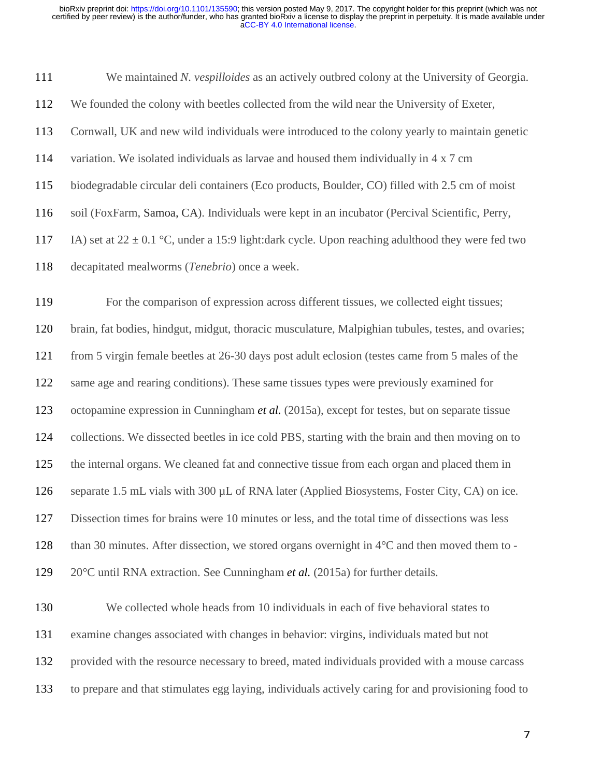| 111 | We maintained N. vespilloides as an actively outbred colony at the University of Georgia.               |
|-----|---------------------------------------------------------------------------------------------------------|
| 112 | We founded the colony with beetles collected from the wild near the University of Exeter,               |
| 113 | Cornwall, UK and new wild individuals were introduced to the colony yearly to maintain genetic          |
| 114 | variation. We isolated individuals as larvae and housed them individually in 4 x 7 cm                   |
| 115 | biodegradable circular deli containers (Eco products, Boulder, CO) filled with 2.5 cm of moist          |
| 116 | soil (FoxFarm, Samoa, CA). Individuals were kept in an incubator (Percival Scientific, Perry,           |
| 117 | IA) set at $22 \pm 0.1$ °C, under a 15:9 light:dark cycle. Upon reaching adulthood they were fed two    |
| 118 | decapitated mealworms (Tenebrio) once a week.                                                           |
| 119 | For the comparison of expression across different tissues, we collected eight tissues;                  |
| 120 | brain, fat bodies, hindgut, midgut, thoracic musculature, Malpighian tubules, testes, and ovaries;      |
| 121 | from 5 virgin female beetles at 26-30 days post adult eclosion (testes came from 5 males of the         |
| 122 | same age and rearing conditions). These same tissues types were previously examined for                 |
| 123 | octopamine expression in Cunningham et al. (2015a), except for testes, but on separate tissue           |
| 124 | collections. We dissected beetles in ice cold PBS, starting with the brain and then moving on to        |
| 125 | the internal organs. We cleaned fat and connective tissue from each organ and placed them in            |
| 126 | separate 1.5 mL vials with 300 µL of RNA later (Applied Biosystems, Foster City, CA) on ice.            |
| 127 | Dissection times for brains were 10 minutes or less, and the total time of dissections was less         |
| 128 | than 30 minutes. After dissection, we stored organs overnight in $4^{\circ}$ C and then moved them to - |
| 129 | $20^{\circ}$ C until RNA extraction. See Cunningham <i>et al.</i> (2015a) for further details.          |
| 130 | We collected whole heads from 10 individuals in each of five behavioral states to                       |
| 131 | examine changes associated with changes in behavior: virgins, individuals mated but not                 |
| 132 | provided with the resource necessary to breed, mated individuals provided with a mouse carcass          |
| 133 | to prepare and that stimulates egg laying, individuals actively caring for and provisioning food to     |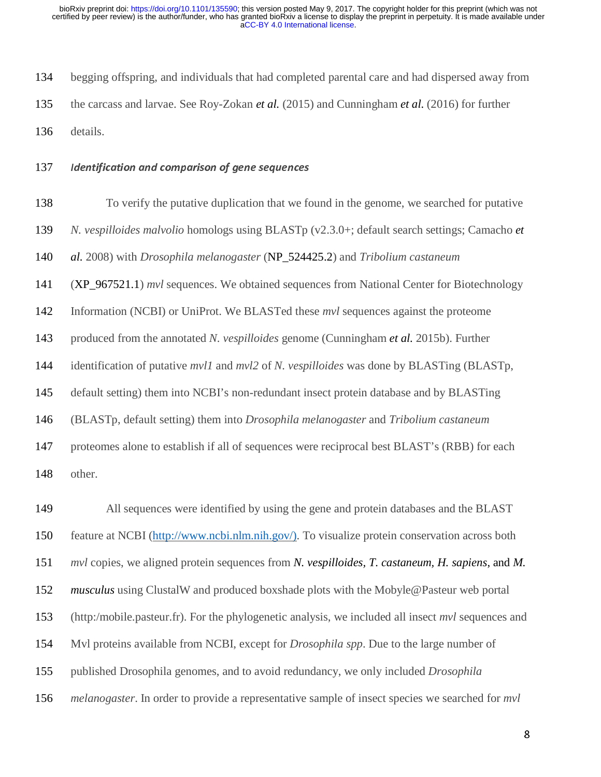134 begging offspring, and individuals that had completed parental care and had dispersed away from 135 the carcass and larvae. See Roy-Zokan *et al.* (2015) and Cunningham *et al.* (2016) for further 136 details.

137 Identification and comparison of gene sequences

138 To verify the putative duplication that we found in the genome, we searched for putative 139 *N. vespilloides malvolio* homologs using BLASTp (v2.3.0+; default search settings; Camacho *et*  140 *al.* 2008) with *Drosophila melanogaster* (NP\_524425.2) and *Tribolium castaneum*  141 (XP\_967521.1) *mvl* sequences. We obtained sequences from National Center for Biotechnology 142 Information (NCBI) or UniProt. We BLASTed these *mvl* sequences against the proteome 143 produced from the annotated *N. vespilloides* genome (Cunningham *et al.* 2015b). Further 144 identification of putative *mvl1* and *mvl2* of *N. vespilloides* was done by BLASTing (BLASTp, 145 default setting) them into NCBI's non-redundant insect protein database and by BLASTing 146 (BLASTp, default setting) them into *Drosophila melanogaster* and *Tribolium castaneum* 147 proteomes alone to establish if all of sequences were reciprocal best BLAST's (RBB) for each 148 other.

149 All sequences were identified by using the gene and protein databases and the BLAST 150 feature at NCBI (http://www.ncbi.nlm.nih.gov/). To visualize protein conservation across both 151 *mvl* copies, we aligned protein sequences from *N. vespilloides, T. castaneum, H. sapiens*, and *M.*  152 *musculus* using ClustalW and produced boxshade plots with the Mobyle@Pasteur web portal 153 (http:/mobile.pasteur.fr). For the phylogenetic analysis, we included all insect *mvl* sequences and 154 Mvl proteins available from NCBI, except for *Drosophila spp*. Due to the large number of 155 published Drosophila genomes, and to avoid redundancy, we only included *Drosophila*  156 *melanogaster*. In order to provide a representative sample of insect species we searched for *mvl*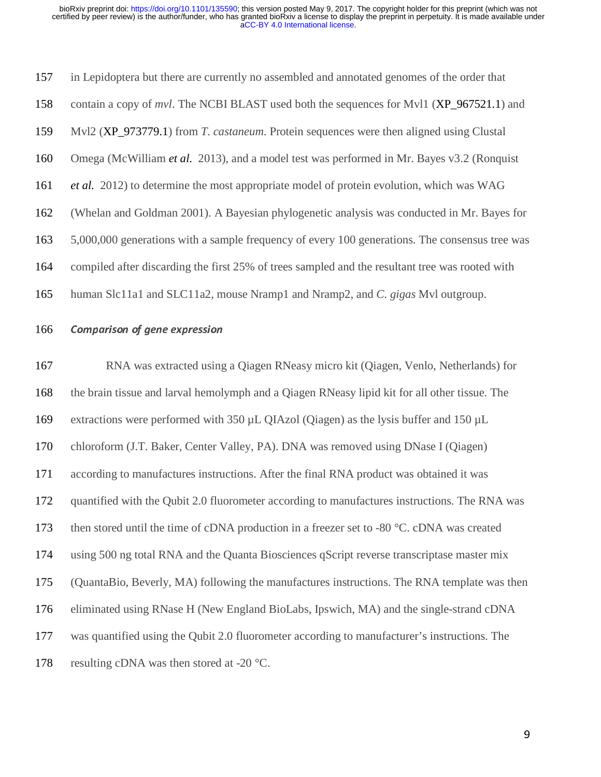| 157 | in Lepidoptera but there are currently no assembled and annotated genomes of the order that      |
|-----|--------------------------------------------------------------------------------------------------|
| 158 | contain a copy of <i>mvl</i> . The NCBI BLAST used both the sequences for Mvl1 (XP_967521.1) and |
| 159 | Mvl2 (XP_973779.1) from <i>T. castaneum</i> . Protein sequences were then aligned using Clustal  |
| 160 | Omega (McWilliam <i>et al.</i> 2013), and a model test was performed in Mr. Bayes v3.2 (Ronquist |
| 161 | <i>et al.</i> 2012) to determine the most appropriate model of protein evolution, which was WAG  |
| 162 | (Whelan and Goldman 2001). A Bayesian phylogenetic analysis was conducted in Mr. Bayes for       |
| 163 | 5,000,000 generations with a sample frequency of every 100 generations. The consensus tree was   |
| 164 | compiled after discarding the first 25% of trees sampled and the resultant tree was rooted with  |
| 165 | human Slc11a1 and SLC11a2, mouse Nramp1 and Nramp2, and C. gigas Myl outgroup.                   |

## 166 Comparison of gene expression

167 RNA was extracted using a Qiagen RNeasy micro kit (Qiagen, Venlo, Netherlands) for 168 the brain tissue and larval hemolymph and a Qiagen RNeasy lipid kit for all other tissue. The 169 extractions were performed with 350 µL QIAzol (Qiagen) as the lysis buffer and 150 µL 170 chloroform (J.T. Baker, Center Valley, PA). DNA was removed using DNase I (Qiagen) 171 according to manufactures instructions. After the final RNA product was obtained it was 172 quantified with the Qubit 2.0 fluorometer according to manufactures instructions. The RNA was 173 then stored until the time of cDNA production in a freezer set to -80 °C. cDNA was created 174 using 500 ng total RNA and the Quanta Biosciences qScript reverse transcriptase master mix 175 (QuantaBio, Beverly, MA) following the manufactures instructions. The RNA template was then 176 eliminated using RNase H (New England BioLabs, Ipswich, MA) and the single-strand cDNA 177 was quantified using the Qubit 2.0 fluorometer according to manufacturer's instructions. The 178 resulting cDNA was then stored at -20 °C.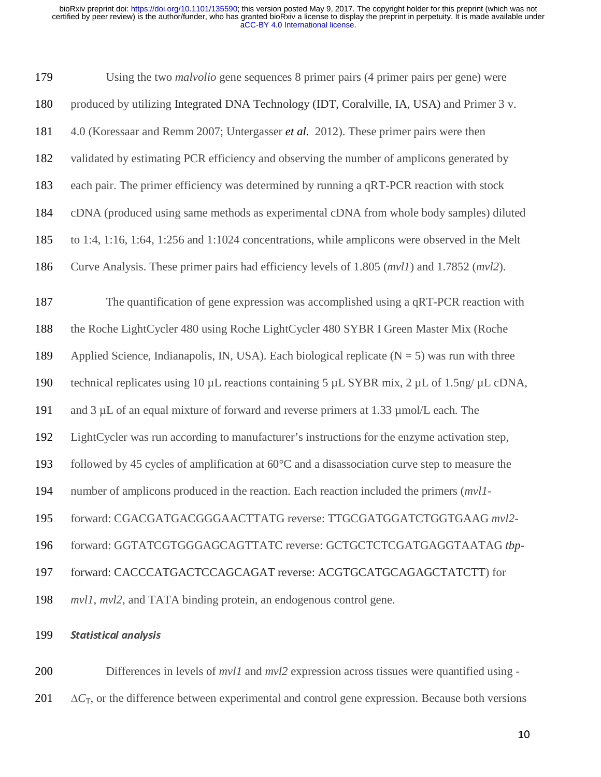| 179 | Using the two <i>malvolio</i> gene sequences 8 primer pairs (4 primer pairs per gene) were                    |
|-----|---------------------------------------------------------------------------------------------------------------|
| 180 | produced by utilizing Integrated DNA Technology (IDT, Coralville, IA, USA) and Primer 3 v.                    |
| 181 | 4.0 (Koressaar and Remm 2007; Untergasser <i>et al.</i> 2012). These primer pairs were then                   |
| 182 | validated by estimating PCR efficiency and observing the number of amplicons generated by                     |
| 183 | each pair. The primer efficiency was determined by running a qRT-PCR reaction with stock                      |
| 184 | cDNA (produced using same methods as experimental cDNA from whole body samples) diluted                       |
| 185 | to 1:4, 1:16, 1:64, 1:256 and 1:1024 concentrations, while amplicons were observed in the Melt                |
| 186 | Curve Analysis. These primer pairs had efficiency levels of 1.805 ( <i>mvl1</i> ) and 1.7852 ( <i>mvl2</i> ). |
| 187 | The quantification of gene expression was accomplished using a qRT-PCR reaction with                          |
| 188 | the Roche LightCycler 480 using Roche LightCycler 480 SYBR I Green Master Mix (Roche                          |
| 189 | Applied Science, Indianapolis, IN, USA). Each biological replicate $(N = 5)$ was run with three               |
| 190 | technical replicates using 10 µL reactions containing 5 µL SYBR mix, 2 µL of 1.5ng/ µL cDNA,                  |
| 191 | and 3 µL of an equal mixture of forward and reverse primers at 1.33 µmol/L each. The                          |
| 192 | LightCycler was run according to manufacturer's instructions for the enzyme activation step,                  |
| 193 | followed by 45 cycles of amplification at $60^{\circ}$ C and a disassociation curve step to measure the       |
| 194 | number of amplicons produced in the reaction. Each reaction included the primers ( <i>mvl1</i> -              |
| 195 | forward: CGACGATGACGGGAACTTATG reverse: TTGCGATGGATCTGGTGAAG mvl2-                                            |
| 196 | forward: GGTATCGTGGGAGCAGTTATC reverse: GCTGCTCTCGATGAGGTAATAG tbp-                                           |
| 197 | forward: CACCCATGACTCCAGCAGAT reverse: ACGTGCATGCAGAGCTATCTT) for                                             |
| 198 | <i>mvl1</i> , <i>mvl2</i> , and TATA binding protein, an endogenous control gene.                             |
|     |                                                                                                               |

# 199 Statistical analysis

200 Differences in levels of *mvl1* and *mvl2* expression across tissues were quantified using - <sup>201</sup>∆*C*T, or the difference between experimental and control gene expression. Because both versions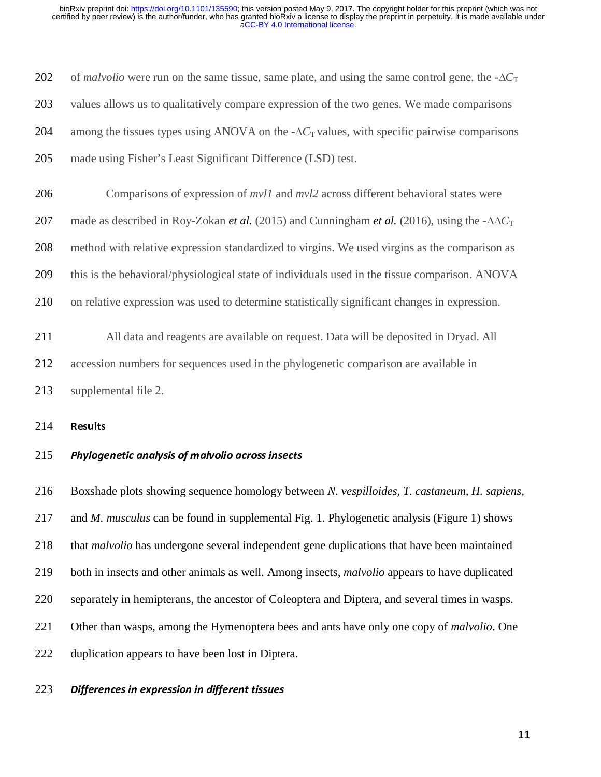| 202                                    | of <i>malvolio</i> were run on the same tissue, same plate, and using the same control gene, the $-\Delta C_T$         |
|----------------------------------------|------------------------------------------------------------------------------------------------------------------------|
| 203                                    | values allows us to qualitatively compare expression of the two genes. We made comparisons                             |
| 204                                    | among the tissues types using ANOVA on the $-\Delta C_T$ values, with specific pairwise comparisons                    |
| 205                                    | made using Fisher's Least Significant Difference (LSD) test.                                                           |
| 206                                    | Comparisons of expression of <i>mvl1</i> and <i>mvl2</i> across different behavioral states were                       |
| 207                                    | made as described in Roy-Zokan <i>et al.</i> (2015) and Cunningham <i>et al.</i> (2016), using the $-\Delta\Delta C_T$ |
| 208                                    | method with relative expression standardized to virgins. We used virgins as the comparison as                          |
| 209                                    | this is the behavioral/physiological state of individuals used in the tissue comparison. ANOVA                         |
| 210                                    | on relative expression was used to determine statistically significant changes in expression.                          |
| 211                                    | All data and reagents are available on request. Data will be deposited in Dryad. All                                   |
| 212                                    | accession numbers for sequences used in the phylogenetic comparison are available in                                   |
|                                        |                                                                                                                        |
| 213                                    | supplemental file 2.                                                                                                   |
|                                        | <b>Results</b>                                                                                                         |
|                                        | Phylogenetic analysis of malvolio across insects                                                                       |
|                                        | Boxshade plots showing sequence homology between N. vespilloides, T. castaneum, H. sapiens,                            |
|                                        | and <i>M. musculus</i> can be found in supplemental Fig. 1. Phylogenetic analysis (Figure 1) shows                     |
|                                        | that malvolio has undergone several independent gene duplications that have been maintained                            |
| 214<br>215<br>216<br>217<br>218<br>219 | both in insects and other animals as well. Among insects, <i>malvolio</i> appears to have duplicated                   |
| 220                                    | separately in hemipterans, the ancestor of Coleoptera and Diptera, and several times in wasps.                         |
| 221                                    | Other than wasps, among the Hymenoptera bees and ants have only one copy of <i>malvolio</i> . One                      |
| 222                                    | duplication appears to have been lost in Diptera.                                                                      |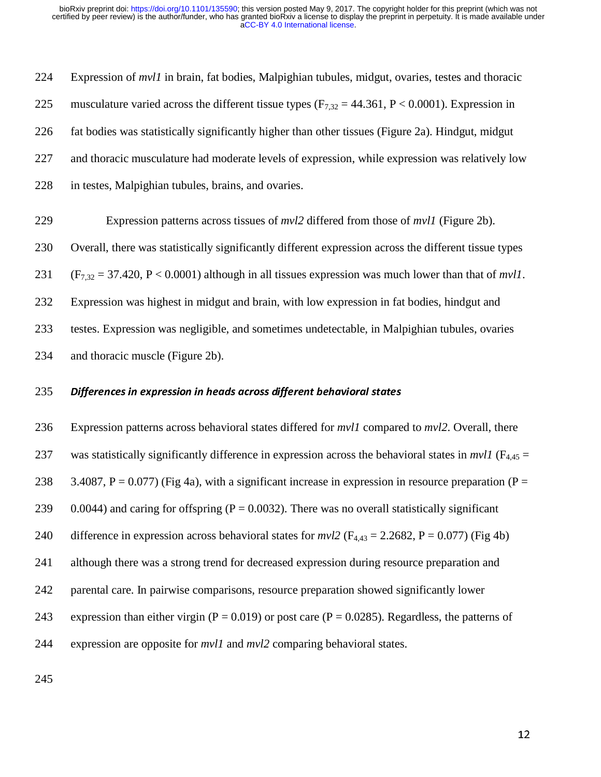224 Expression of *mvl1* in brain, fat bodies, Malpighian tubules, midgut, ovaries, testes and thoracic 225 musculature varied across the different tissue types  $(F_{7,32} = 44.361, P < 0.0001)$ . Expression in 226 fat bodies was statistically significantly higher than other tissues (Figure 2a). Hindgut, midgut 227 and thoracic musculature had moderate levels of expression, while expression was relatively low 228 in testes, Malpighian tubules, brains, and ovaries.

229 Expression patterns across tissues of *mvl2* differed from those of *mvl1* (Figure 2b).

230 Overall, there was statistically significantly different expression across the different tissue types

231 (F7,32 = 37.420, P < 0.0001) although in all tissues expression was much lower than that of *mvl1*.

232 Expression was highest in midgut and brain, with low expression in fat bodies, hindgut and

233 testes. Expression was negligible, and sometimes undetectable, in Malpighian tubules, ovaries

234 and thoracic muscle (Figure 2b).

### 235 Differences in expression in heads across different behavioral states

236 Expression patterns across behavioral states differed for *mvl1* compared to *mvl2*. Overall, there 237 was statistically significantly difference in expression across the behavioral states in  $mvl1$  ( $F_{4,45}$  = 238 3.4087, P = 0.077) (Fig 4a), with a significant increase in expression in resource preparation (P = 239 0.0044) and caring for offspring ( $P = 0.0032$ ). There was no overall statistically significant 240 difference in expression across behavioral states for  $mvl2$  ( $F_{4,43} = 2.2682$ ,  $P = 0.077$ ) (Fig 4b) 241 although there was a strong trend for decreased expression during resource preparation and 242 parental care. In pairwise comparisons, resource preparation showed significantly lower 243 expression than either virgin ( $P = 0.019$ ) or post care ( $P = 0.0285$ ). Regardless, the patterns of 244 expression are opposite for *mvl1* and *mvl2* comparing behavioral states.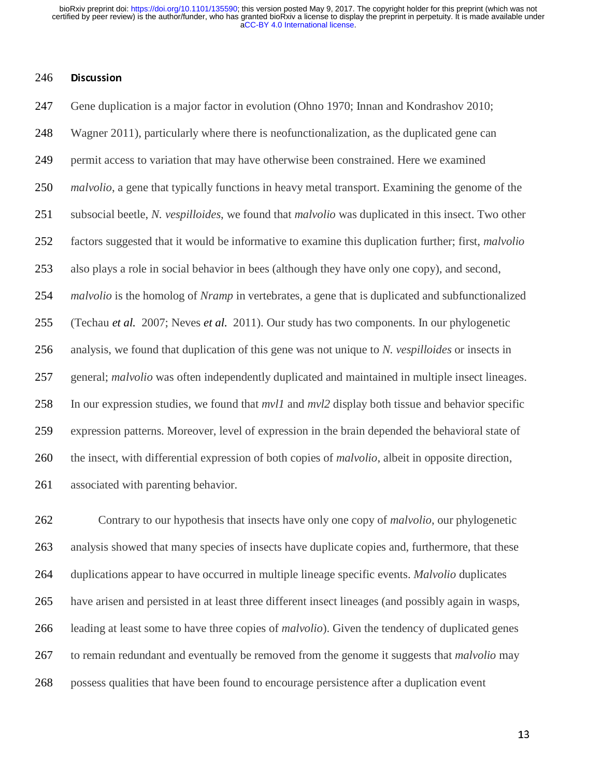#### 246 Discussion

247 Gene duplication is a major factor in evolution (Ohno 1970; Innan and Kondrashov 2010; 248 Wagner 2011), particularly where there is neofunctionalization, as the duplicated gene can 249 permit access to variation that may have otherwise been constrained. Here we examined 250 *malvolio*, a gene that typically functions in heavy metal transport. Examining the genome of the 251 subsocial beetle, *N. vespilloides*, we found that *malvolio* was duplicated in this insect. Two other 252 factors suggested that it would be informative to examine this duplication further; first, *malvolio* 253 also plays a role in social behavior in bees (although they have only one copy), and second, 254 *malvolio* is the homolog of *Nramp* in vertebrates, a gene that is duplicated and subfunctionalized 255 (Techau *et al.* 2007; Neves *et al.* 2011). Our study has two components. In our phylogenetic 256 analysis, we found that duplication of this gene was not unique to *N. vespilloides* or insects in 257 general; *malvolio* was often independently duplicated and maintained in multiple insect lineages. 258 In our expression studies, we found that *mvl1* and *mvl2* display both tissue and behavior specific 259 expression patterns. Moreover, level of expression in the brain depended the behavioral state of 260 the insect, with differential expression of both copies of *malvolio*, albeit in opposite direction, 261 associated with parenting behavior.

262 Contrary to our hypothesis that insects have only one copy of *malvolio*, our phylogenetic 263 analysis showed that many species of insects have duplicate copies and, furthermore, that these 264 duplications appear to have occurred in multiple lineage specific events. *Malvolio* duplicates 265 have arisen and persisted in at least three different insect lineages (and possibly again in wasps, 266 leading at least some to have three copies of *malvolio*). Given the tendency of duplicated genes 267 to remain redundant and eventually be removed from the genome it suggests that *malvolio* may 268 possess qualities that have been found to encourage persistence after a duplication event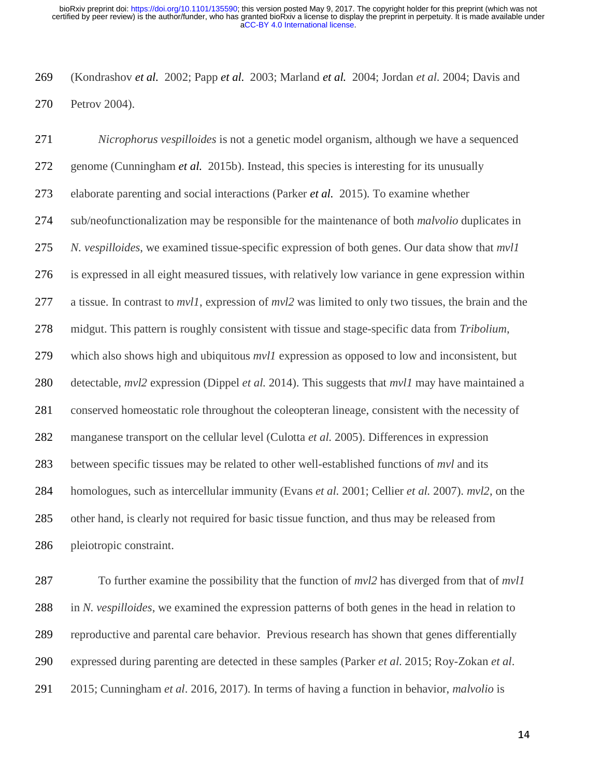269 (Kondrashov *et al.* 2002; Papp *et al.* 2003; Marland *et al.* 2004; Jordan *et al.* 2004; Davis and 270 Petrov 2004).

271 *Nicrophorus vespilloides* is not a genetic model organism, although we have a sequenced 272 genome (Cunningham *et al.* 2015b). Instead, this species is interesting for its unusually 273 elaborate parenting and social interactions (Parker *et al.* 2015). To examine whether 274 sub/neofunctionalization may be responsible for the maintenance of both *malvolio* duplicates in 275 *N. vespilloides*, we examined tissue-specific expression of both genes. Our data show that *mvl1* 276 is expressed in all eight measured tissues, with relatively low variance in gene expression within 277 a tissue. In contrast to *mvl1*, expression of *mvl2* was limited to only two tissues, the brain and the 278 midgut. This pattern is roughly consistent with tissue and stage-specific data from *Tribolium*, 279 which also shows high and ubiquitous *mvl1* expression as opposed to low and inconsistent, but 280 detectable, *mvl2* expression (Dippel *et al.* 2014). This suggests that *mvl1* may have maintained a 281 conserved homeostatic role throughout the coleopteran lineage, consistent with the necessity of 282 manganese transport on the cellular level (Culotta *et al.* 2005). Differences in expression 283 between specific tissues may be related to other well-established functions of *mvl* and its 284 homologues, such as intercellular immunity (Evans *et al.* 2001; Cellier *et al.* 2007). *mvl2*, on the 285 other hand, is clearly not required for basic tissue function, and thus may be released from 286 pleiotropic constraint.

287 To further examine the possibility that the function of *mvl2* has diverged from that of *mvl1*  288 in *N. vespilloides*, we examined the expression patterns of both genes in the head in relation to 289 reproductive and parental care behavior. Previous research has shown that genes differentially 290 expressed during parenting are detected in these samples (Parker *et al*. 2015; Roy-Zokan *et al*. 291 2015; Cunningham *et al*. 2016, 2017). In terms of having a function in behavior, *malvolio* is

the contract of the contract of the contract of the contract of the contract of the contract of the contract o<br>The contract of the contract of the contract of the contract of the contract of the contract of the contract o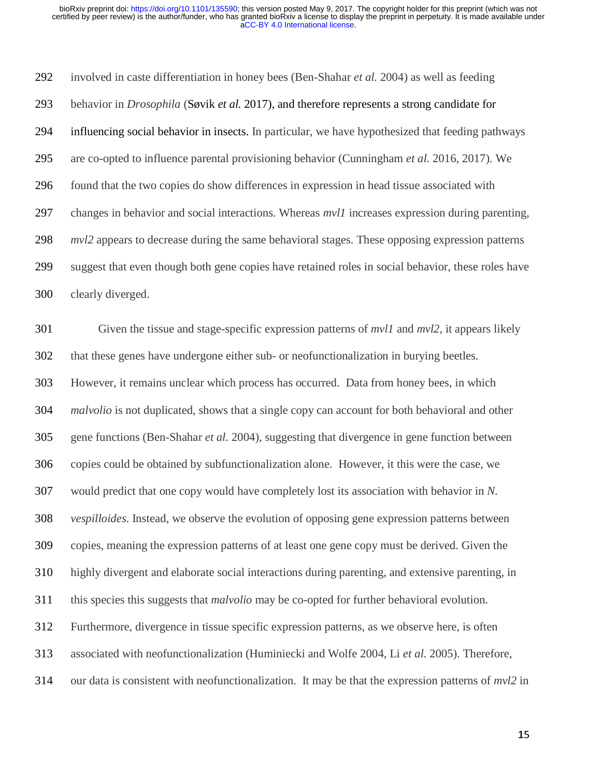292 involved in caste differentiation in honey bees (Ben-Shahar *et al.* 2004) as well as feeding 293 behavior in *Drosophila* (Søvik *et al.* 2017), and therefore represents a strong candidate for 294 influencing social behavior in insects. In particular, we have hypothesized that feeding pathways 295 are co-opted to influence parental provisioning behavior (Cunningham *et al*. 2016, 2017). We 296 found that the two copies do show differences in expression in head tissue associated with 297 changes in behavior and social interactions. Whereas *mvl1* increases expression during parenting, 298 *mvl2* appears to decrease during the same behavioral stages. These opposing expression patterns 299 suggest that even though both gene copies have retained roles in social behavior, these roles have 300 clearly diverged.

301 Given the tissue and stage-specific expression patterns of *mvl1* and *mvl2*, it appears likely 302 that these genes have undergone either sub- or neofunctionalization in burying beetles. 303 However, it remains unclear which process has occurred. Data from honey bees, in which 304 *malvolio* is not duplicated, shows that a single copy can account for both behavioral and other 305 gene functions (Ben-Shahar *et al.* 2004), suggesting that divergence in gene function between 306 copies could be obtained by subfunctionalization alone. However, it this were the case, we 307 would predict that one copy would have completely lost its association with behavior in *N.*  308 *vespilloides*. Instead, we observe the evolution of opposing gene expression patterns between 309 copies, meaning the expression patterns of at least one gene copy must be derived. Given the 310 highly divergent and elaborate social interactions during parenting, and extensive parenting, in 311 this species this suggests that *malvolio* may be co-opted for further behavioral evolution. 312 Furthermore, divergence in tissue specific expression patterns, as we observe here, is often 313 associated with neofunctionalization (Huminiecki and Wolfe 2004, Li *et al.* 2005). Therefore, 314 our data is consistent with neofunctionalization. It may be that the expression patterns of *mvl2* in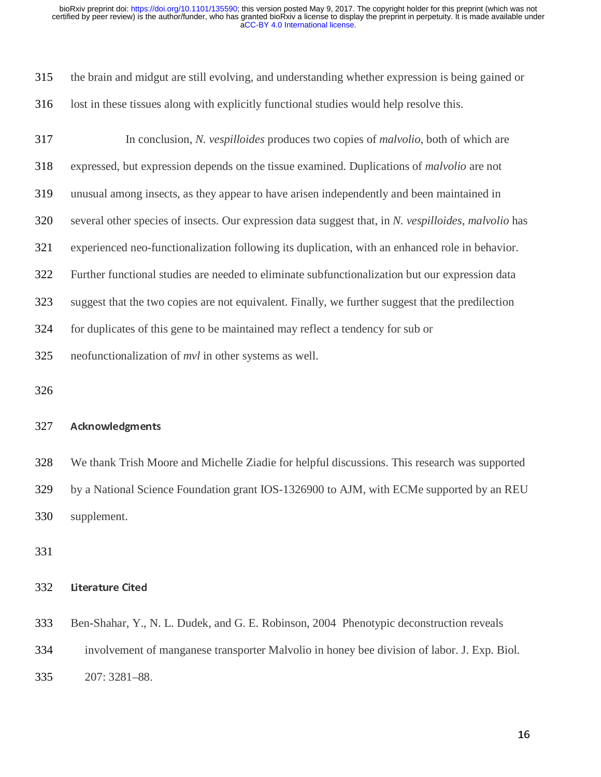| 315 | the brain and midgut are still evolving, and understanding whether expression is being gained or |
|-----|--------------------------------------------------------------------------------------------------|
| 316 | lost in these tissues along with explicitly functional studies would help resolve this.          |

317 In conclusion, *N. vespilloides* produces two copies of *malvolio*, both of which are 318 expressed, but expression depends on the tissue examined. Duplications of *malvolio* are not 319 unusual among insects, as they appear to have arisen independently and been maintained in 320 several other species of insects. Our expression data suggest that, in *N. vespilloides*, *malvolio* has 321 experienced neo-functionalization following its duplication, with an enhanced role in behavior. 322 Further functional studies are needed to eliminate subfunctionalization but our expression data 323 suggest that the two copies are not equivalent. Finally, we further suggest that the predilection 324 for duplicates of this gene to be maintained may reflect a tendency for sub or 325 neofunctionalization of *mvl* in other systems as well. 326

### 327 Acknowledgments

328 We thank Trish Moore and Michelle Ziadie for helpful discussions. This research was supported 329 by a National Science Foundation grant IOS-1326900 to AJM, with ECMe supported by an REU 330 supplement.

331

#### 332 Literature Cited

333 Ben-Shahar, Y., N. L. Dudek, and G. E. Robinson, 2004 Phenotypic deconstruction reveals 334 involvement of manganese transporter Malvolio in honey bee division of labor. J. Exp. Biol. 335 207: 3281–88.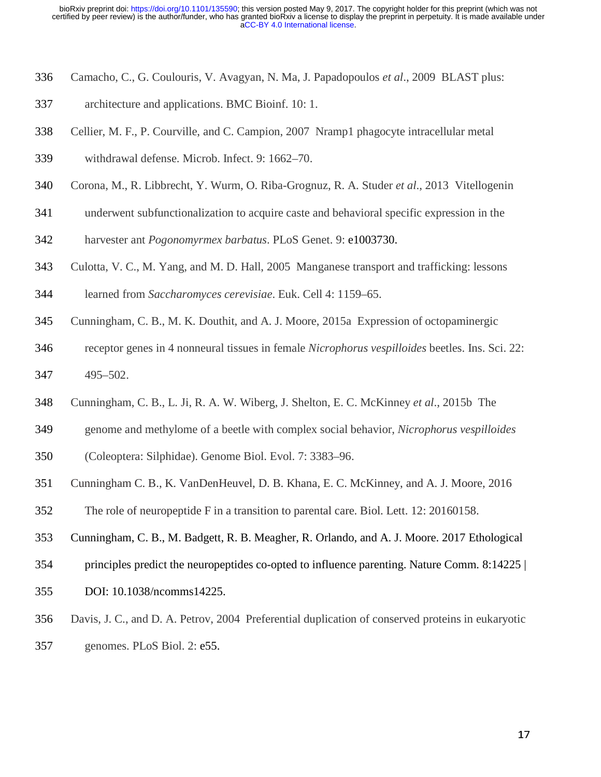- 336 Camacho, C., G. Coulouris, V. Avagyan, N. Ma, J. Papadopoulos *et al*., 2009 BLAST plus:
- 337 architecture and applications. BMC Bioinf. 10: 1.
- 338 Cellier, M. F., P. Courville, and C. Campion, 2007 Nramp1 phagocyte intracellular metal
- 339 withdrawal defense. Microb. Infect. 9: 1662–70.
- 340 Corona, M., R. Libbrecht, Y. Wurm, O. Riba-Grognuz, R. A. Studer *et al*., 2013 Vitellogenin
- 341 underwent subfunctionalization to acquire caste and behavioral specific expression in the
- 342 harvester ant *Pogonomyrmex barbatus*. PLoS Genet. 9: e1003730.
- 343 Culotta, V. C., M. Yang, and M. D. Hall, 2005 Manganese transport and trafficking: lessons
- 344 learned from *Saccharomyces cerevisiae*. Euk. Cell 4: 1159–65.
- 345 Cunningham, C. B., M. K. Douthit, and A. J. Moore, 2015a Expression of octopaminergic
- 346 receptor genes in 4 nonneural tissues in female *Nicrophorus vespilloides* beetles. Ins. Sci. 22: 347 495–502.
- 348 Cunningham, C. B., L. Ji, R. A. W. Wiberg, J. Shelton, E. C. McKinney *et al*., 2015b The
- 349 genome and methylome of a beetle with complex social behavior, *Nicrophorus vespilloides*
- 350 (Coleoptera: Silphidae). Genome Biol. Evol. 7: 3383–96.
- 351 Cunningham C. B., K. VanDenHeuvel, D. B. Khana, E. C. McKinney, and A. J. Moore, 2016
- 352 The role of neuropeptide F in a transition to parental care. Biol. Lett. 12: 20160158.
- 353 Cunningham, C. B., M. Badgett, R. B. Meagher, R. Orlando, and A. J. Moore. 2017 Ethological
- 354 principles predict the neuropeptides co-opted to influence parenting. Nature Comm*.* 8:14225 |
- 355 DOI: 10.1038/ncomms14225.
- 356 Davis, J. C., and D. A. Petrov, 2004 Preferential duplication of conserved proteins in eukaryotic
- 357 genomes. PLoS Biol. 2: e55.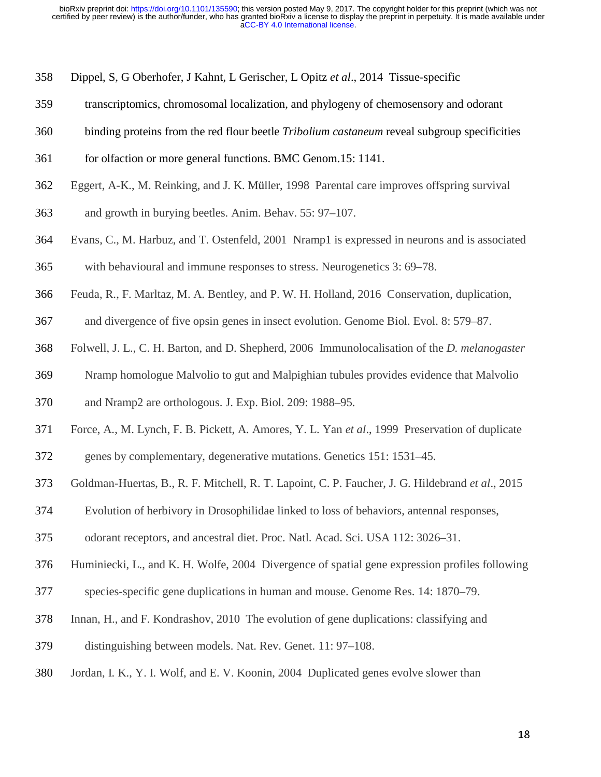- 358 Dippel, S, G Oberhofer, J Kahnt, L Gerischer, L Opitz *et al*., 2014 Tissue-specific
- 359 transcriptomics, chromosomal localization, and phylogeny of chemosensory and odorant
- 360 binding proteins from the red flour beetle *Tribolium castaneum* reveal subgroup specificities
- 361 for olfaction or more general functions. BMC Genom.15: 1141.
- 362 Eggert, A-K., M. Reinking, and J. K. Müller, 1998 Parental care improves offspring survival
- 363 and growth in burying beetles. Anim. Behav. 55: 97–107.
- 364 Evans, C., M. Harbuz, and T. Ostenfeld, 2001 Nramp1 is expressed in neurons and is associated 365 with behavioural and immune responses to stress. Neurogenetics 3: 69–78.
- 366 Feuda, R., F. Marltaz, M. A. Bentley, and P. W. H. Holland, 2016 Conservation, duplication,
- 367 and divergence of five opsin genes in insect evolution. Genome Biol. Evol. 8: 579–87.
- 368 Folwell, J. L., C. H. Barton, and D. Shepherd, 2006 Immunolocalisation of the *D. melanogaster*
- 369 Nramp homologue Malvolio to gut and Malpighian tubules provides evidence that Malvolio
- 370 and Nramp2 are orthologous. J. Exp. Biol. 209: 1988–95.
- 371 Force, A., M. Lynch, F. B. Pickett, A. Amores, Y. L. Yan *et al*., 1999 Preservation of duplicate
- 372 genes by complementary, degenerative mutations. Genetics 151: 1531–45.
- 373 Goldman-Huertas, B., R. F. Mitchell, R. T. Lapoint, C. P. Faucher, J. G. Hildebrand *et al*., 2015
- 374 Evolution of herbivory in Drosophilidae linked to loss of behaviors, antennal responses,
- 375 odorant receptors, and ancestral diet. Proc. Natl. Acad. Sci. USA 112: 3026–31.
- 376 Huminiecki, L., and K. H. Wolfe, 2004 Divergence of spatial gene expression profiles following
- 377 species-specific gene duplications in human and mouse. Genome Res. 14: 1870–79.
- 378 Innan, H., and F. Kondrashov, 2010 The evolution of gene duplications: classifying and
- 379 distinguishing between models. Nat. Rev. Genet. 11: 97–108.
- 380 Jordan, I. K., Y. I. Wolf, and E. V. Koonin, 2004 Duplicated genes evolve slower than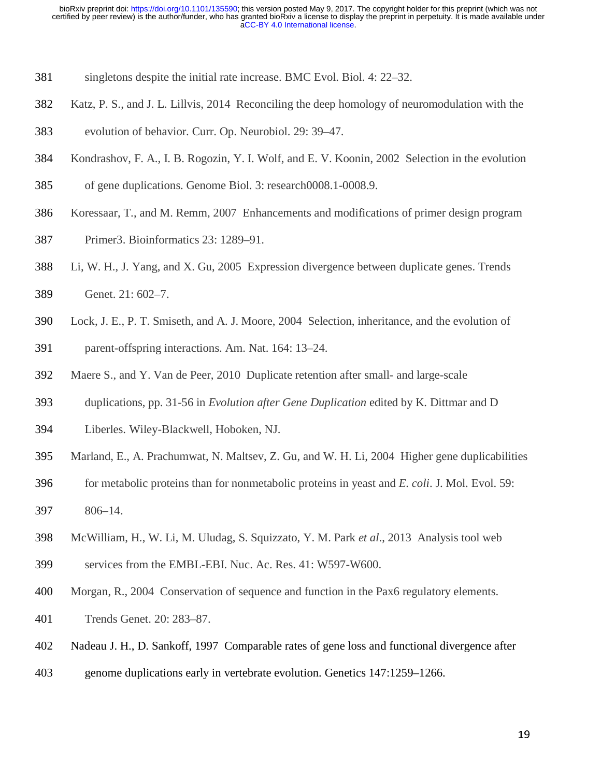- 381 singletons despite the initial rate increase. BMC Evol. Biol. 4: 22–32.
- 382 Katz, P. S., and J. L. Lillvis, 2014 Reconciling the deep homology of neuromodulation with the
- 383 evolution of behavior. Curr. Op. Neurobiol. 29: 39–47.
- 384 Kondrashov, F. A., I. B. Rogozin, Y. I. Wolf, and E. V. Koonin, 2002 Selection in the evolution
- 385 of gene duplications. Genome Biol. 3: research0008.1-0008.9.
- 386 Koressaar, T., and M. Remm, 2007 Enhancements and modifications of primer design program
- 387 Primer3. Bioinformatics 23: 1289–91.
- 388 Li, W. H., J. Yang, and X. Gu, 2005 Expression divergence between duplicate genes. Trends 389 Genet. 21: 602–7.
- 390 Lock, J. E., P. T. Smiseth, and A. J. Moore, 2004 Selection, inheritance, and the evolution of 391 parent-offspring interactions. Am. Nat. 164: 13–24.
- 392 Maere S., and Y. Van de Peer, 2010 Duplicate retention after small- and large-scale
- 393 duplications, pp. 31-56 in *Evolution after Gene Duplication* edited by K. Dittmar and D
- 394 Liberles. Wiley-Blackwell, Hoboken, NJ.
- 395 Marland, E., A. Prachumwat, N. Maltsev, Z. Gu, and W. H. Li, 2004 Higher gene duplicabilities
- 396 for metabolic proteins than for nonmetabolic proteins in yeast and *E. coli*. J. Mol. Evol. 59: 397 806–14.
- 398 McWilliam, H., W. Li, M. Uludag, S. Squizzato, Y. M. Park *et al*., 2013 Analysis tool web
- 399 services from the EMBL-EBI. Nuc. Ac. Res. 41: W597-W600.
- 400 Morgan, R., 2004 Conservation of sequence and function in the Pax6 regulatory elements.
- 401 Trends Genet. 20: 283–87.
- 402 Nadeau J. H., D. Sankoff, 1997 Comparable rates of gene loss and functional divergence after
- 403 genome duplications early in vertebrate evolution. Genetics 147:1259–1266.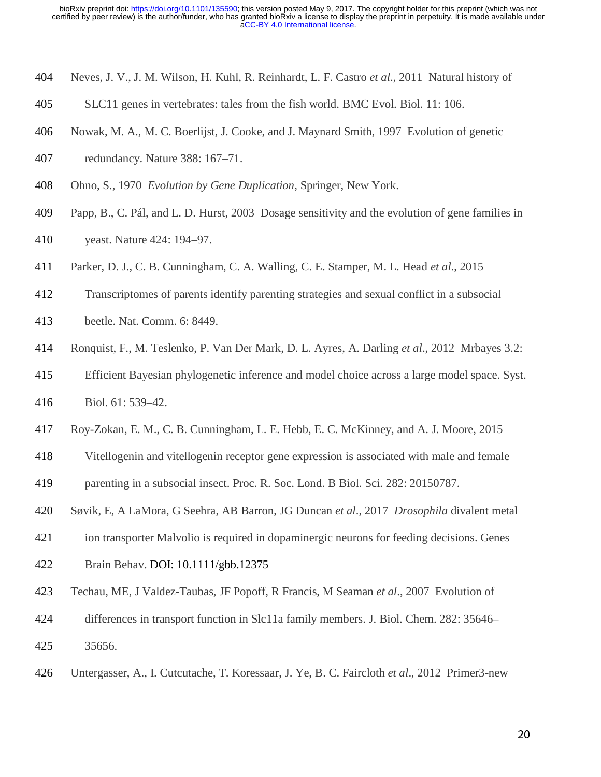- 404 Neves, J. V., J. M. Wilson, H. Kuhl, R. Reinhardt, L. F. Castro *et al*., 2011 Natural history of
- 405 SLC11 genes in vertebrates: tales from the fish world. BMC Evol. Biol. 11: 106.
- 406 Nowak, M. A., M. C. Boerlijst, J. Cooke, and J. Maynard Smith, 1997 Evolution of genetic
- 407 redundancy. Nature 388: 167–71.
- 408 Ohno, S., 1970 *Evolution by Gene Duplication*, Springer, New York.
- 409 Papp, B., C. Pál, and L. D. Hurst, 2003 Dosage sensitivity and the evolution of gene families in
- 410 yeast. Nature 424: 194–97.
- 411 Parker, D. J., C. B. Cunningham, C. A. Walling, C. E. Stamper, M. L. Head *et al*., 2015
- 412 Transcriptomes of parents identify parenting strategies and sexual conflict in a subsocial
- 413 beetle. Nat. Comm. 6: 8449.
- 414 Ronquist, F., M. Teslenko, P. Van Der Mark, D. L. Ayres, A. Darling *et al*., 2012 Mrbayes 3.2:
- 415 Efficient Bayesian phylogenetic inference and model choice across a large model space. Syst.
- 416 Biol. 61: 539–42.
- 417 Roy-Zokan, E. M., C. B. Cunningham, L. E. Hebb, E. C. McKinney, and A. J. Moore, 2015
- 418 Vitellogenin and vitellogenin receptor gene expression is associated with male and female
- 419 parenting in a subsocial insect. Proc. R. Soc. Lond. B Biol. Sci. 282: 20150787.
- 420 Søvik, E, A LaMora, G Seehra, AB Barron, JG Duncan *et al*., 2017 *Drosophila* divalent metal
- 421 ion transporter Malvolio is required in dopaminergic neurons for feeding decisions. Genes
- 422 Brain Behav. DOI: 10.1111/gbb.12375
- 423 Techau, ME, J Valdez-Taubas, JF Popoff, R Francis, M Seaman *et al*., 2007 Evolution of
- 424 differences in transport function in Slc11a family members. J. Biol. Chem. 282: 35646–
- 425 35656.
- 426 Untergasser, A., I. Cutcutache, T. Koressaar, J. Ye, B. C. Faircloth *et al*., 2012 Primer3-new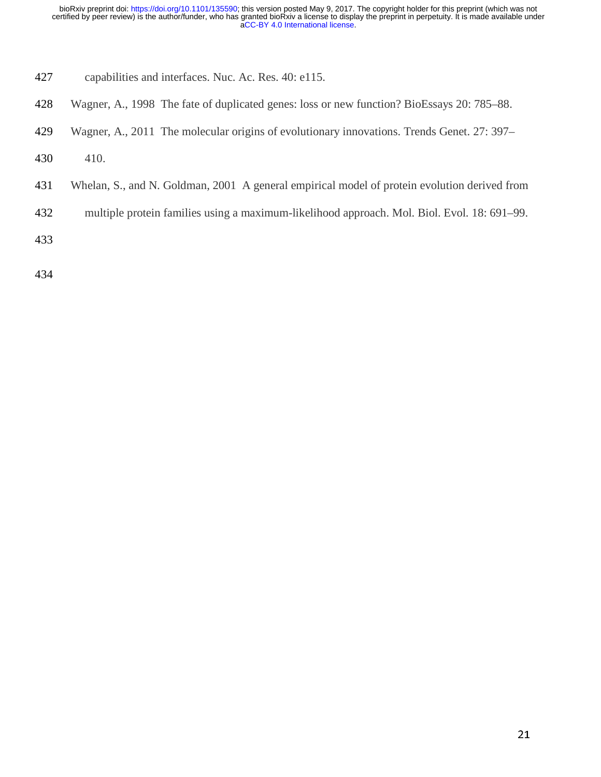- 427 capabilities and interfaces. Nuc. Ac. Res. 40: e115.
- 428 Wagner, A., 1998 The fate of duplicated genes: loss or new function? BioEssays 20: 785–88.
- 429 Wagner, A., 2011 The molecular origins of evolutionary innovations. Trends Genet. 27: 397–
- 430 410.
- 431 Whelan, S., and N. Goldman, 2001 A general empirical model of protein evolution derived from
- 432 multiple protein families using a maximum-likelihood approach. Mol. Biol. Evol. 18: 691–99.

433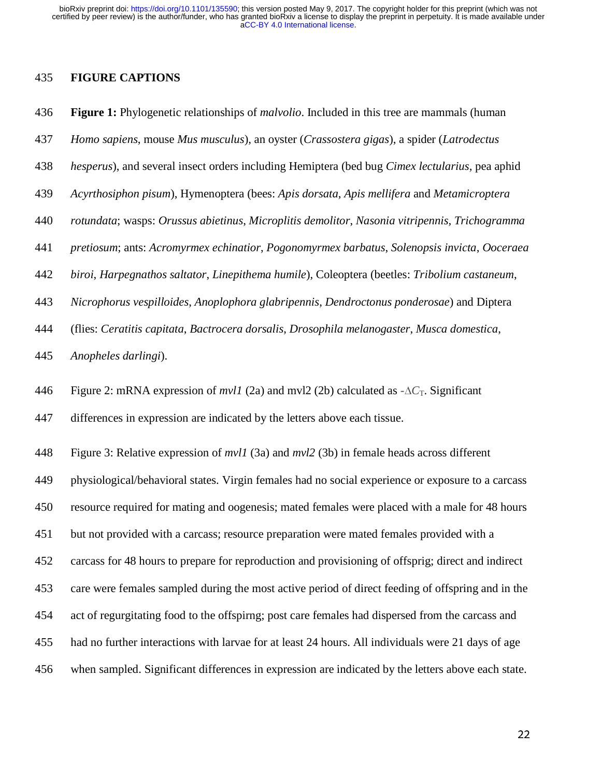#### 435 **FIGURE CAPTIONS**

436 **Figure 1:** Phylogenetic relationships of *malvolio*. Included in this tree are mammals (human

- 437 *Homo sapiens*, mouse *Mus musculus*), an oyster (*Crassostera gigas*), a spider (*Latrodectus*
- 438 *hesperus*), and several insect orders including Hemiptera (bed bug *Cimex lectularius,* pea aphid
- 439 *Acyrthosiphon pisum*), Hymenoptera (bees: *Apis dorsata*, *Apis mellifera* and *Metamicroptera*
- 440 *rotundata*; wasps: *Orussus abietinus*, *Microplitis demolitor*, *Nasonia vitripennis, Trichogramma*
- 441 *pretiosum*; ants: *Acromyrmex echinatior*, *Pogonomyrmex barbatus*, *Solenopsis invicta*, *Ooceraea*
- 442 *biroi*, *Harpegnathos saltator*, *Linepithema humile*), Coleoptera (beetles: *Tribolium castaneum*,
- 443 *Nicrophorus vespilloides*, *Anoplophora glabripennis*, *Dendroctonus ponderosae*) and Diptera
- 444 (flies: *Ceratitis capitata*, *Bactrocera dorsalis*, *Drosophila melanogaster*, *Musca domestica*,
- 445 *Anopheles darlingi*).

446 Figure 2: mRNA expression of *mvl1* (2a) and mvl2 (2b) calculated as  $-\Delta C_T$ . Significant

447 differences in expression are indicated by the letters above each tissue.

448 Figure 3: Relative expression of *mvl1* (3a) and *mvl2* (3b) in female heads across different 449 physiological/behavioral states. Virgin females had no social experience or exposure to a carcass 450 resource required for mating and oogenesis; mated females were placed with a male for 48 hours 451 but not provided with a carcass; resource preparation were mated females provided with a 452 carcass for 48 hours to prepare for reproduction and provisioning of offsprig; direct and indirect 453 care were females sampled during the most active period of direct feeding of offspring and in the 454 act of regurgitating food to the offspirng; post care females had dispersed from the carcass and 455 had no further interactions with larvae for at least 24 hours. All individuals were 21 days of age 456 when sampled. Significant differences in expression are indicated by the letters above each state.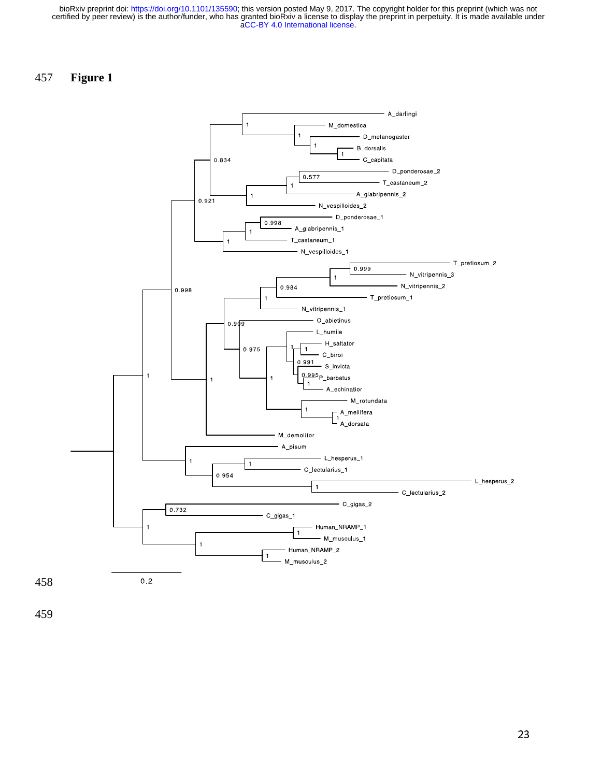## 457 **Figure 1**

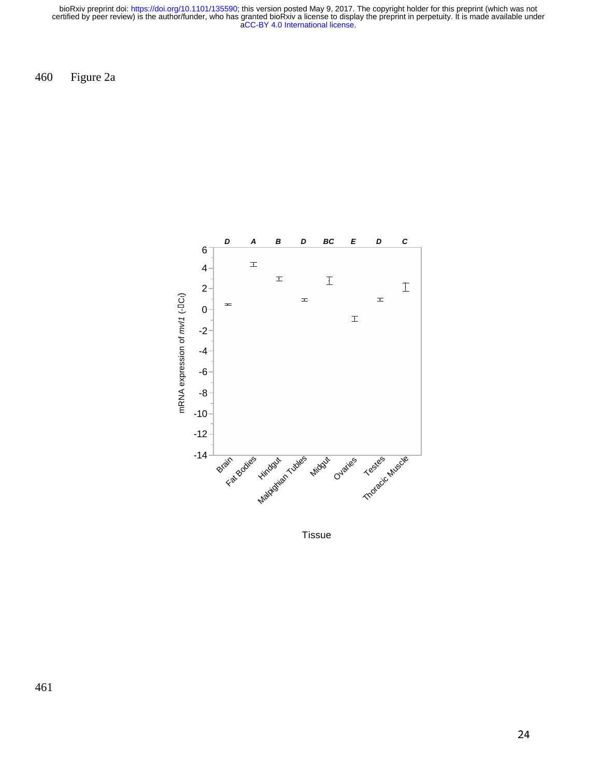460 Figure 2a



Tissue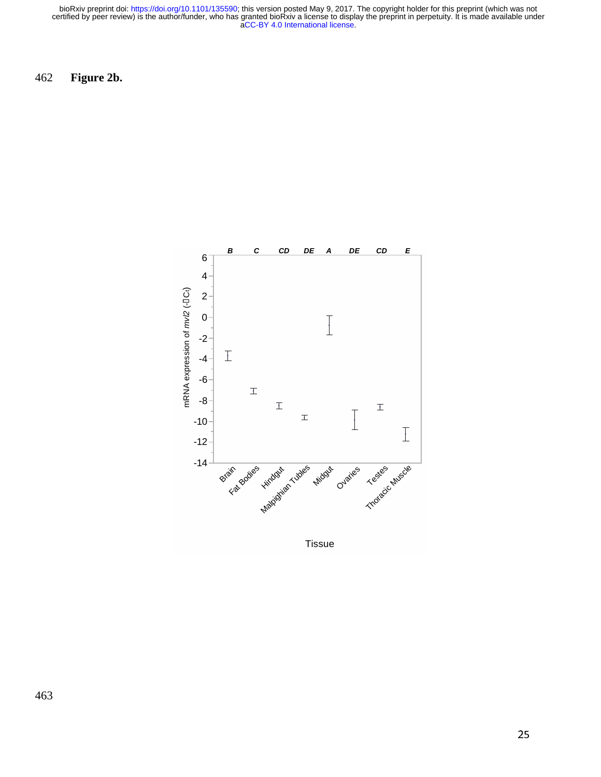462 **Figure 2b.** 

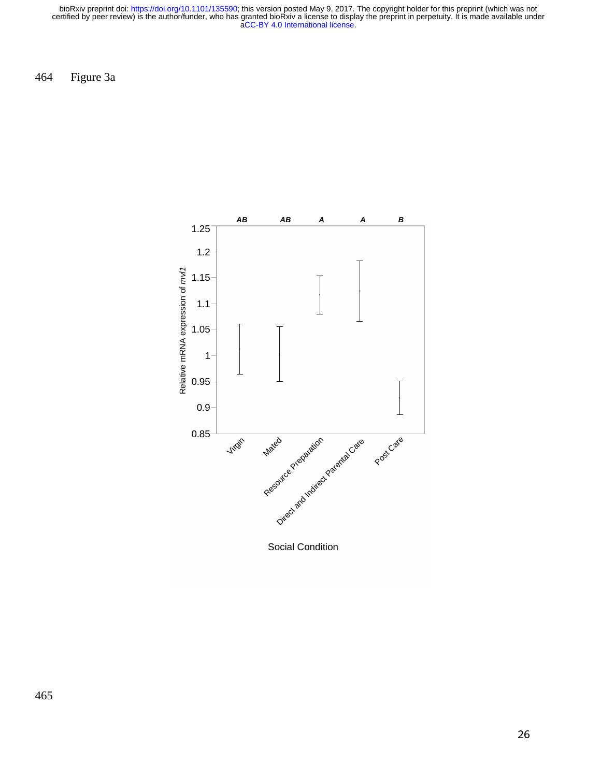464 Figure 3a